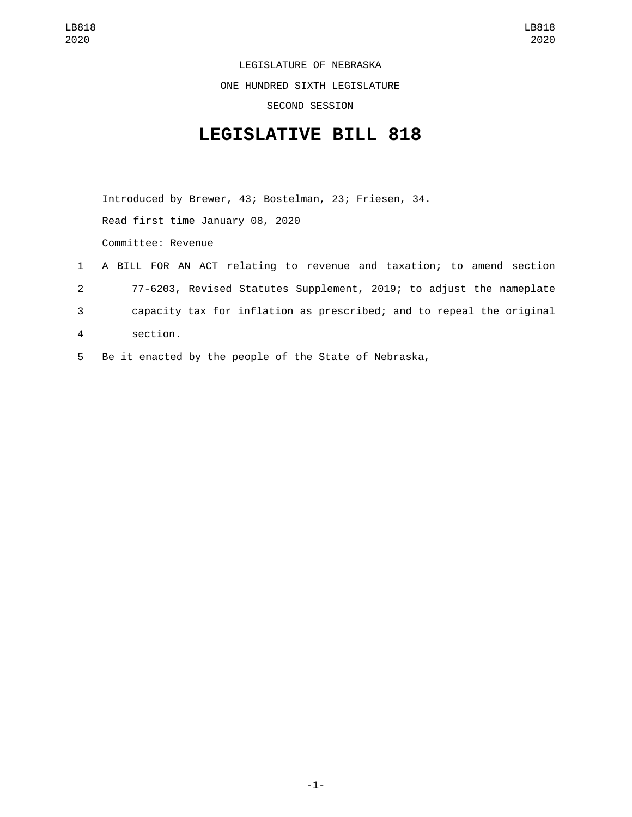LEGISLATURE OF NEBRASKA

ONE HUNDRED SIXTH LEGISLATURE

SECOND SESSION

## **LEGISLATIVE BILL 818**

Introduced by Brewer, 43; Bostelman, 23; Friesen, 34. Read first time January 08, 2020 Committee: Revenue

- 1 A BILL FOR AN ACT relating to revenue and taxation; to amend section 2 77-6203, Revised Statutes Supplement, 2019; to adjust the nameplate 3 capacity tax for inflation as prescribed; and to repeal the original section.4
- 5 Be it enacted by the people of the State of Nebraska,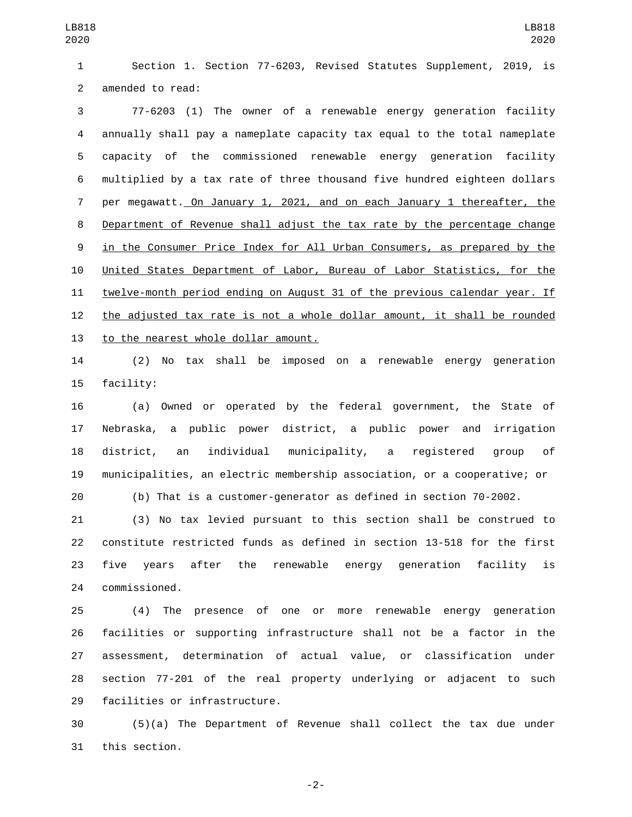Section 1. Section 77-6203, Revised Statutes Supplement, 2019, is 2 amended to read:

 77-6203 (1) The owner of a renewable energy generation facility annually shall pay a nameplate capacity tax equal to the total nameplate capacity of the commissioned renewable energy generation facility multiplied by a tax rate of three thousand five hundred eighteen dollars per megawatt. On January 1, 2021, and on each January 1 thereafter, the Department of Revenue shall adjust the tax rate by the percentage change in the Consumer Price Index for All Urban Consumers, as prepared by the United States Department of Labor, Bureau of Labor Statistics, for the twelve-month period ending on August 31 of the previous calendar year. If the adjusted tax rate is not a whole dollar amount, it shall be rounded 13 to the nearest whole dollar amount.

 (2) No tax shall be imposed on a renewable energy generation 15 facility:

 (a) Owned or operated by the federal government, the State of Nebraska, a public power district, a public power and irrigation district, an individual municipality, a registered group of municipalities, an electric membership association, or a cooperative; or

(b) That is a customer-generator as defined in section 70-2002.

 (3) No tax levied pursuant to this section shall be construed to constitute restricted funds as defined in section 13-518 for the first five years after the renewable energy generation facility is commissioned.24

 (4) The presence of one or more renewable energy generation facilities or supporting infrastructure shall not be a factor in the assessment, determination of actual value, or classification under section 77-201 of the real property underlying or adjacent to such 29 facilities or infrastructure.

 (5)(a) The Department of Revenue shall collect the tax due under 31 this section.

-2-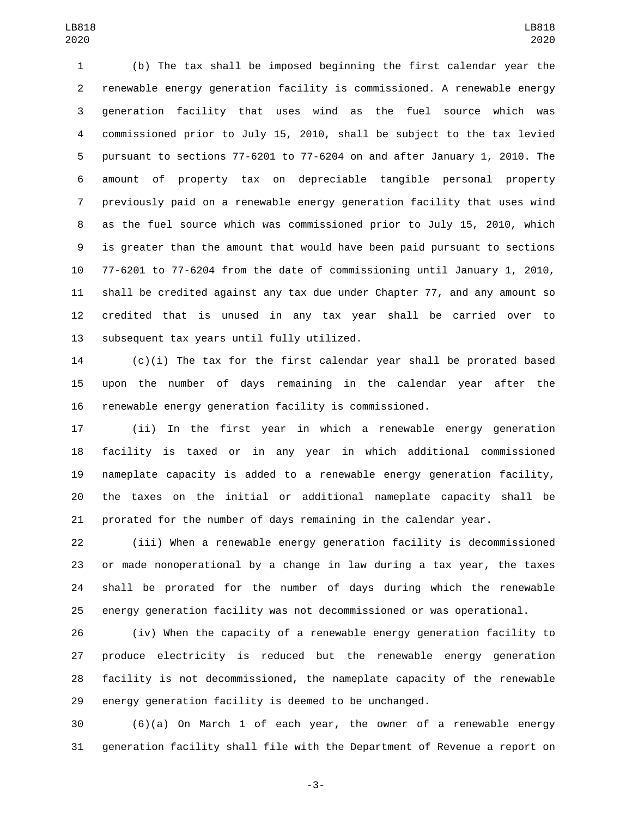(b) The tax shall be imposed beginning the first calendar year the renewable energy generation facility is commissioned. A renewable energy generation facility that uses wind as the fuel source which was commissioned prior to July 15, 2010, shall be subject to the tax levied pursuant to sections 77-6201 to 77-6204 on and after January 1, 2010. The amount of property tax on depreciable tangible personal property previously paid on a renewable energy generation facility that uses wind as the fuel source which was commissioned prior to July 15, 2010, which is greater than the amount that would have been paid pursuant to sections 77-6201 to 77-6204 from the date of commissioning until January 1, 2010, shall be credited against any tax due under Chapter 77, and any amount so credited that is unused in any tax year shall be carried over to 13 subsequent tax years until fully utilized.

 (c)(i) The tax for the first calendar year shall be prorated based upon the number of days remaining in the calendar year after the renewable energy generation facility is commissioned.

 (ii) In the first year in which a renewable energy generation facility is taxed or in any year in which additional commissioned nameplate capacity is added to a renewable energy generation facility, the taxes on the initial or additional nameplate capacity shall be prorated for the number of days remaining in the calendar year.

 (iii) When a renewable energy generation facility is decommissioned or made nonoperational by a change in law during a tax year, the taxes shall be prorated for the number of days during which the renewable energy generation facility was not decommissioned or was operational.

 (iv) When the capacity of a renewable energy generation facility to produce electricity is reduced but the renewable energy generation facility is not decommissioned, the nameplate capacity of the renewable energy generation facility is deemed to be unchanged.

 (6)(a) On March 1 of each year, the owner of a renewable energy generation facility shall file with the Department of Revenue a report on

-3-